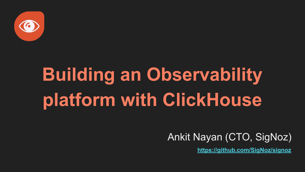

# **Building an Observability platform with ClickHouse**

#### Ankit Nayan (CTO, SigNoz)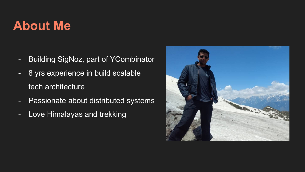# **About Me**

- Building SigNoz, part of YCombinator
- 8 yrs experience in build scalable tech architecture
- Passionate about distributed systems
- Love Himalayas and trekking

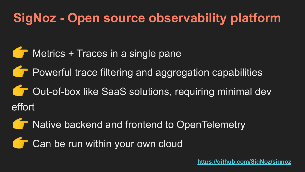# **SigNoz - Open source observability platform**

- Metrics + Traces in a single pane
- Powerful trace filtering and aggregation capabilities
- Out-of-box like SaaS solutions, requiring minimal dev effort
- Native backend and frontend to OpenTelemetry
- Can be run within your own cloud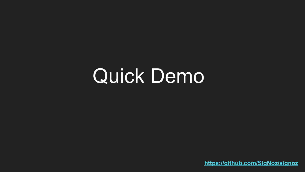# Quick Demo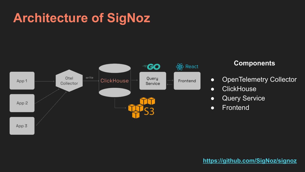# **Architecture of SigNoz**



#### **Components**

- OpenTelemetry Collector
- ClickHouse
- Query Service
- Frontend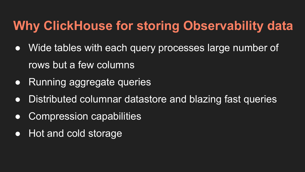# **Why ClickHouse for storing Observability data**

- Wide tables with each query processes large number of rows but a few columns
- Running aggregate queries
- Distributed columnar datastore and blazing fast queries
- Compression capabilities
- Hot and cold storage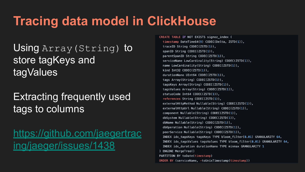# **Tracing data model in ClickHouse**

### Using Array (String) to store tagKeys and tagValues

### Extracting frequently used tags to columns

[https://github.com/jaegertrac](https://github.com/jaegertracing/jaeger/issues/1438) [ing/jaeger/issues/1438](https://github.com/jaegertracing/jaeger/issues/1438)

CREATE TABLE IF NOT EXISTS signoz index ( timestamp DateTime64(9) CODEC(Delta, ZSTD(1)), traceID String CODEC(ZSTD(1)), spanID String CODEC(ZSTD(1)), parentSpanID String CODEC(ZSTD(1)), serviceName LowCardinality(String) CODEC(ZSTD(1)), name LowCardinality(String) CODEC(ZSTD(1)), kind  $Int32 CODEC(ZSTD(1))$ , durationNano UInt64 CODEC(ZSTD(1)), tags Array(String) CODEC(ZSTD(1)), tagsKeys Array(String) CODEC(ZSTD(1)), tagsValues Array(String) CODEC(ZSTD(1)), statusCode Int64 CODEC(ZSTD(1)), references String CODEC(ZSTD(1)), externalHttpMethod Nullable(String) CODEC(ZSTD(1)), externalHttpUrl Nullable(String) CODEC(ZSTD(1)), component Nullable(String) CODEC(ZSTD(1)), dbSystem Nullable(String) CODEC(ZSTD(1)), dbName Nullable(String) CODEC(ZSTD(1)), db0peration Nullable(String) CODEC(ZSTD(1)), peerService Nullable(String) CODEC(ZSTD(1)), INDEX idx\_tagsKeys tagsKeys TYPE bloom\_filter(0.01) GRANULARITY 64, INDEX idx\_tagsValues tagsValues TYPE bloom\_filter(0.01) GRANULARITY 64, INDEX idx duration durationNano TYPE minmax GRANULARITY 1 ) ENGINE MergeTree() PARTITION BY toDate(timestamp) ORDER BY (serviceName, -toUnixTimestamp(timestamp))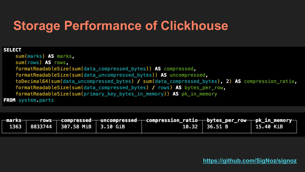# **Storage Performance of Clickhouse**

#### **SELECT**

sum(marks) AS marks, sum(rows) AS rows, formatReadableSize(sum(data\_compressed\_bytes)) AS compressed, formatReadableSize(sum(data\_uncompressed\_bytes)) AS uncompressed, toDecimal64(sum(data\_uncompressed\_bytes) / sum(data\_compressed\_bytes), 2) AS compression\_ratio, formatReadableSize(sum(data\_compressed\_bytes) / rows) AS bytes\_per\_row, formatReadableSize(sum(primary\_key\_bytes\_in\_memory)) AS pk\_in\_memory FROM system parts

| —marks——— |                                  | $-$ rows $-$ compressed $-$ uncompressed $-$ compression_ratio $-$ bytes_per_row $-$ pk_in_memory $-$ |                 |           |
|-----------|----------------------------------|-------------------------------------------------------------------------------------------------------|-----------------|-----------|
|           | 1363 8833744 307.58 MiB 3.10 GiB |                                                                                                       | $10.32$ 36.51 B | 15.40 KiB |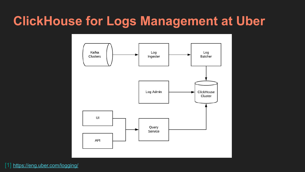## **ClickHouse for Logs Management at Uber**



[1] <https://eng.uber.com/logging/>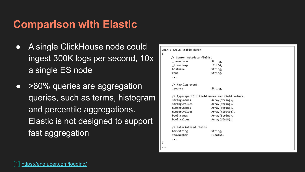### **Comparison with Elastic**

- A single ClickHouse node could ingest 300K logs per second, 10x a single ES node
- >80% queries are aggregation queries, such as terms, histogram and percentile aggregations. Elastic is not designed to support fast aggregation

| // Common metadata fields.                     |                 |  |  |  |
|------------------------------------------------|-----------------|--|--|--|
| namespace                                      | String,         |  |  |  |
| _timestamp                                     | Int64,          |  |  |  |
| hostname                                       | String,         |  |  |  |
| zone                                           | String,         |  |  |  |
| $\cdots$                                       |                 |  |  |  |
| // Raw log event.                              |                 |  |  |  |
| _source                                        | String,         |  |  |  |
| // Type-specific field names and field values. |                 |  |  |  |
| string.names                                   | Array(String),  |  |  |  |
| string.values                                  | Array(String),  |  |  |  |
| number.names                                   | Array(String),  |  |  |  |
| number.values                                  | Array(Float64), |  |  |  |
| bool.names                                     | Array(String),  |  |  |  |
| bool.values                                    | Array(UInt8),   |  |  |  |
| // Materialized fields                         |                 |  |  |  |
| bar.String                                     | String,         |  |  |  |
| foo.Number                                     | Float64,        |  |  |  |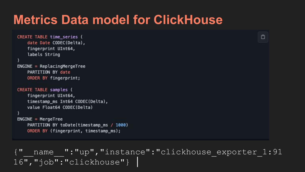## **Metrics Data model for ClickHouse**

```
CREATE TABLE time series (
    date Date CODEC(Delta),
    fingerprint UInt64,
    labels String
ENGINE = Replacin dMeracTreePARTITION BY date
   ORDER BY fingerprint;
CREATE TABLE samples (
    fingerprint UInt64,
    timestamp_ms Int64 CODEC(Delta),
    value Float64 CODEC(Delta)
ENGINE = MergeTreePARTITION BY toDate(timestamp ms / 1000)
    ORDER BY (fingerprint, timestamp_ms);
```
name ":"up", "instance":"clickhouse exporter 1:91 16", "job": "clickhouse" }

 $\Box$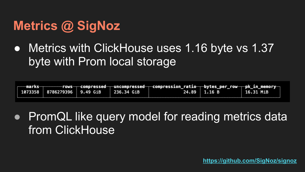# **Metrics @ SigNoz**

• Metrics with ClickHouse uses 1.16 byte vs 1.37 byte with Prom local storage

| $-$ marks $-$ | 1073358   8786279396   9.49 GiB | 236.34 GiB | $\hspace{0.1cm}$ rows——compressed——uncompressed——compression_ratio——bytes_per_row——pk_in_memory— | 24.89 1.16 B | 16.31 MiB |
|---------------|---------------------------------|------------|--------------------------------------------------------------------------------------------------|--------------|-----------|
|               |                                 |            |                                                                                                  |              |           |

• PromQL like query model for reading metrics data from ClickHouse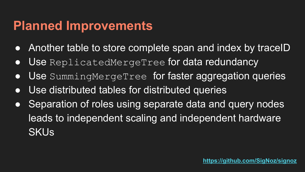## **Planned Improvements**

- Another table to store complete span and index by traceID
- Use ReplicatedMergeTree for data redundancy
- Use SummingMergeTree for faster aggregation queries
- Use distributed tables for distributed queries
- Separation of roles using separate data and query nodes leads to independent scaling and independent hardware **SKUs**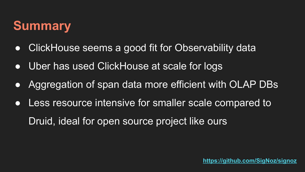# **Summary**

- ClickHouse seems a good fit for Observability data
- Uber has used ClickHouse at scale for logs
- Aggregation of span data more efficient with OLAP DBs
- Less resource intensive for smaller scale compared to Druid, ideal for open source project like ours